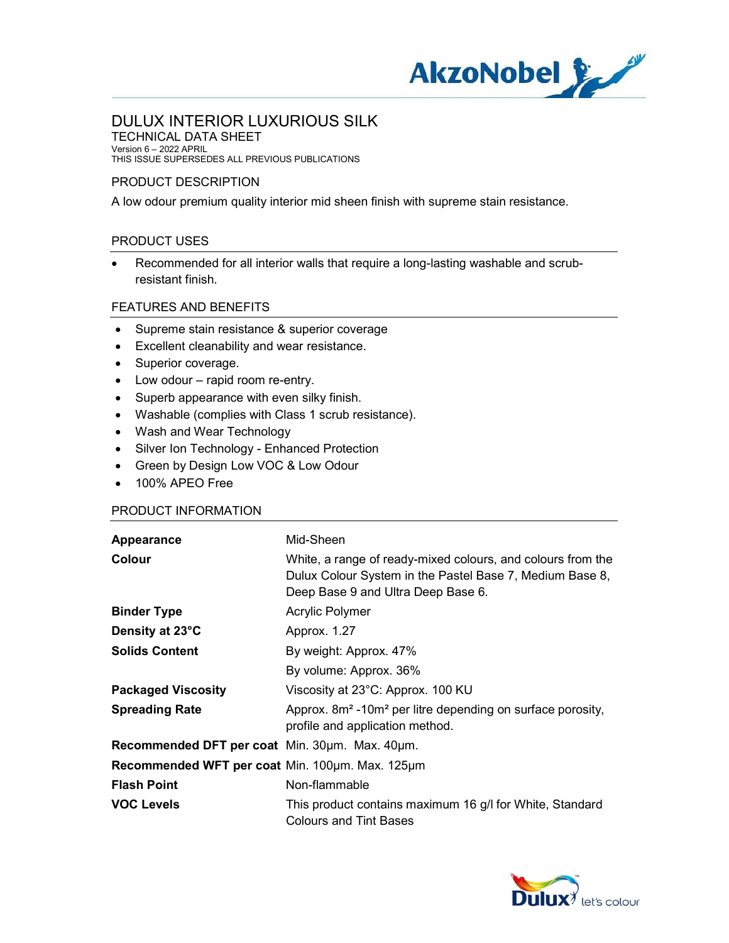

TECHNICAL DATA SHEET Version 6 – 2022 APRIL THIS ISSUE SUPERSEDES ALL PREVIOUS PUBLICATIONS

#### PRODUCT DESCRIPTION

A low odour premium quality interior mid sheen finish with supreme stain resistance.

### PRODUCT USES

 Recommended for all interior walls that require a long-lasting washable and scrubresistant finish.

## FEATURES AND BENEFITS

- Supreme stain resistance & superior coverage
- Excellent cleanability and wear resistance.
- Superior coverage.
- Low odour rapid room re-entry.
- Superb appearance with even silky finish.
- Washable (complies with Class 1 scrub resistance).
- Wash and Wear Technology
- Silver Ion Technology Enhanced Protection
- Green by Design Low VOC & Low Odour
- 100% APEO Free

#### PRODUCT INFORMATION

| Appearance                                      | Mid-Sheen                                                                                                                                                     |
|-------------------------------------------------|---------------------------------------------------------------------------------------------------------------------------------------------------------------|
| Colour                                          | White, a range of ready-mixed colours, and colours from the<br>Dulux Colour System in the Pastel Base 7, Medium Base 8,<br>Deep Base 9 and Ultra Deep Base 6. |
| <b>Binder Type</b>                              | Acrylic Polymer                                                                                                                                               |
| Density at 23°C                                 | Approx. 1.27                                                                                                                                                  |
| <b>Solids Content</b>                           | By weight: Approx. 47%                                                                                                                                        |
|                                                 | By volume: Approx. 36%                                                                                                                                        |
| <b>Packaged Viscosity</b>                       | Viscosity at 23°C: Approx. 100 KU                                                                                                                             |
| <b>Spreading Rate</b>                           | Approx. 8m <sup>2</sup> -10m <sup>2</sup> per litre depending on surface porosity,<br>profile and application method.                                         |
| Recommended DFT per coat Min. 30um. Max. 40um.  |                                                                                                                                                               |
| Recommended WFT per coat Min. 100um. Max. 125um |                                                                                                                                                               |
| <b>Flash Point</b>                              | Non-flammable                                                                                                                                                 |
| VOC Levels                                      | This product contains maximum 16 g/l for White, Standard<br><b>Colours and Tint Bases</b>                                                                     |

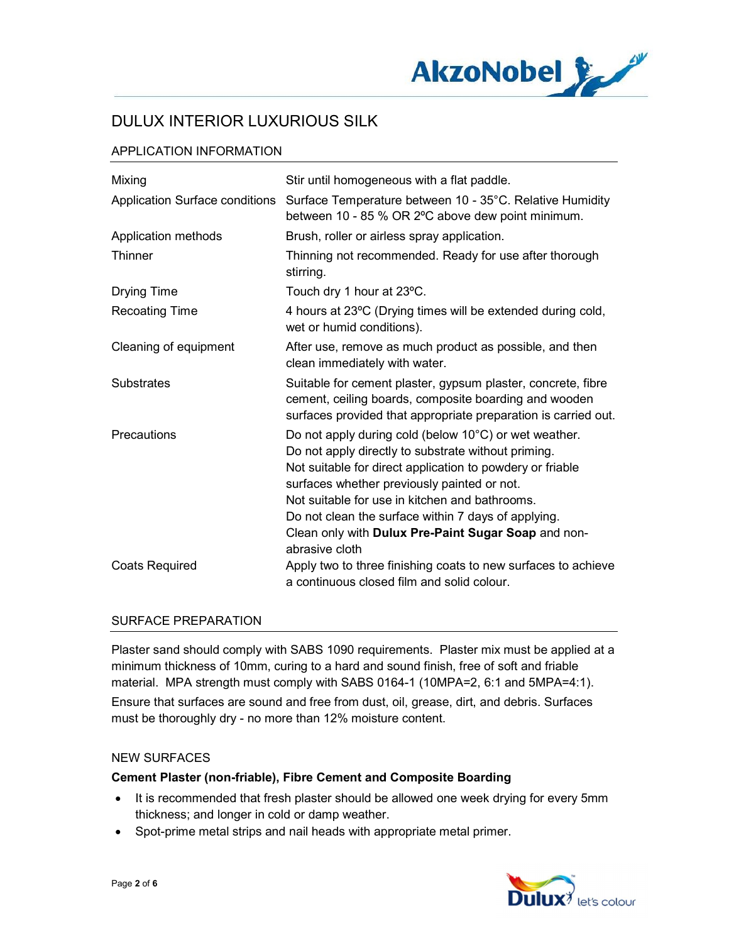

## APPLICATION INFORMATION

| Mixing                         | Stir until homogeneous with a flat paddle.                                                                                                                                                                                                                                                                                                                                                                 |
|--------------------------------|------------------------------------------------------------------------------------------------------------------------------------------------------------------------------------------------------------------------------------------------------------------------------------------------------------------------------------------------------------------------------------------------------------|
| Application Surface conditions | Surface Temperature between 10 - 35°C. Relative Humidity<br>between 10 - 85 % OR 2°C above dew point minimum.                                                                                                                                                                                                                                                                                              |
| Application methods            | Brush, roller or airless spray application.                                                                                                                                                                                                                                                                                                                                                                |
| Thinner                        | Thinning not recommended. Ready for use after thorough<br>stirring.                                                                                                                                                                                                                                                                                                                                        |
| <b>Drying Time</b>             | Touch dry 1 hour at 23°C.                                                                                                                                                                                                                                                                                                                                                                                  |
| <b>Recoating Time</b>          | 4 hours at 23°C (Drying times will be extended during cold,<br>wet or humid conditions).                                                                                                                                                                                                                                                                                                                   |
| Cleaning of equipment          | After use, remove as much product as possible, and then<br>clean immediately with water.                                                                                                                                                                                                                                                                                                                   |
| <b>Substrates</b>              | Suitable for cement plaster, gypsum plaster, concrete, fibre<br>cement, ceiling boards, composite boarding and wooden<br>surfaces provided that appropriate preparation is carried out.                                                                                                                                                                                                                    |
| Precautions                    | Do not apply during cold (below 10°C) or wet weather.<br>Do not apply directly to substrate without priming.<br>Not suitable for direct application to powdery or friable<br>surfaces whether previously painted or not.<br>Not suitable for use in kitchen and bathrooms.<br>Do not clean the surface within 7 days of applying.<br>Clean only with Dulux Pre-Paint Sugar Soap and non-<br>abrasive cloth |
| <b>Coats Required</b>          | Apply two to three finishing coats to new surfaces to achieve<br>a continuous closed film and solid colour.                                                                                                                                                                                                                                                                                                |

#### SURFACE PREPARATION

Plaster sand should comply with SABS 1090 requirements. Plaster mix must be applied at a minimum thickness of 10mm, curing to a hard and sound finish, free of soft and friable material. MPA strength must comply with SABS 0164-1 (10MPA=2, 6:1 and 5MPA=4:1). Ensure that surfaces are sound and free from dust, oil, grease, dirt, and debris. Surfaces must be thoroughly dry - no more than 12% moisture content.

#### NEW SURFACES

#### Cement Plaster (non-friable), Fibre Cement and Composite Boarding

- It is recommended that fresh plaster should be allowed one week drying for every 5mm thickness; and longer in cold or damp weather.
- Spot-prime metal strips and nail heads with appropriate metal primer.

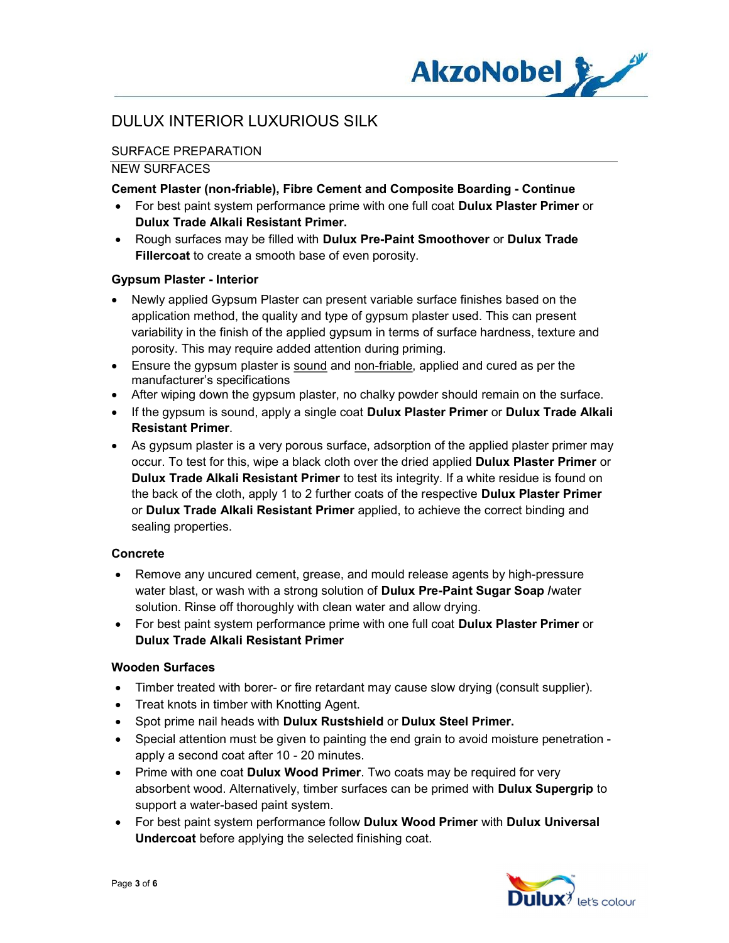

## SURFACE PREPARATION

#### NEW SURFACES

#### Cement Plaster (non-friable), Fibre Cement and Composite Boarding - Continue

- For best paint system performance prime with one full coat Dulux Plaster Primer or Dulux Trade Alkali Resistant Primer.
- Rough surfaces may be filled with Dulux Pre-Paint Smoothover or Dulux Trade Fillercoat to create a smooth base of even porosity.

### Gypsum Plaster - Interior

- Newly applied Gypsum Plaster can present variable surface finishes based on the application method, the quality and type of gypsum plaster used. This can present variability in the finish of the applied gypsum in terms of surface hardness, texture and porosity. This may require added attention during priming.
- Ensure the gypsum plaster is sound and non-friable, applied and cured as per the manufacturer's specifications
- After wiping down the gypsum plaster, no chalky powder should remain on the surface.
- If the gypsum is sound, apply a single coat Dulux Plaster Primer or Dulux Trade Alkali Resistant Primer.
- As gypsum plaster is a very porous surface, adsorption of the applied plaster primer may occur. To test for this, wipe a black cloth over the dried applied Dulux Plaster Primer or Dulux Trade Alkali Resistant Primer to test its integrity. If a white residue is found on the back of the cloth, apply 1 to 2 further coats of the respective **Dulux Plaster Primer** or Dulux Trade Alkali Resistant Primer applied, to achieve the correct binding and sealing properties.

## Concrete

- Remove any uncured cement, grease, and mould release agents by high-pressure water blast, or wash with a strong solution of **Dulux Pre-Paint Sugar Soap** /water solution. Rinse off thoroughly with clean water and allow drying.
- For best paint system performance prime with one full coat Dulux Plaster Primer or Dulux Trade Alkali Resistant Primer

## Wooden Surfaces

- Timber treated with borer- or fire retardant may cause slow drying (consult supplier).
- Treat knots in timber with Knotting Agent.
- Spot prime nail heads with Dulux Rustshield or Dulux Steel Primer.
- Special attention must be given to painting the end grain to avoid moisture penetration apply a second coat after 10 - 20 minutes.
- Prime with one coat Dulux Wood Primer. Two coats may be required for very absorbent wood. Alternatively, timber surfaces can be primed with Dulux Supergrip to support a water-based paint system.
- For best paint system performance follow Dulux Wood Primer with Dulux Universal Undercoat before applying the selected finishing coat.

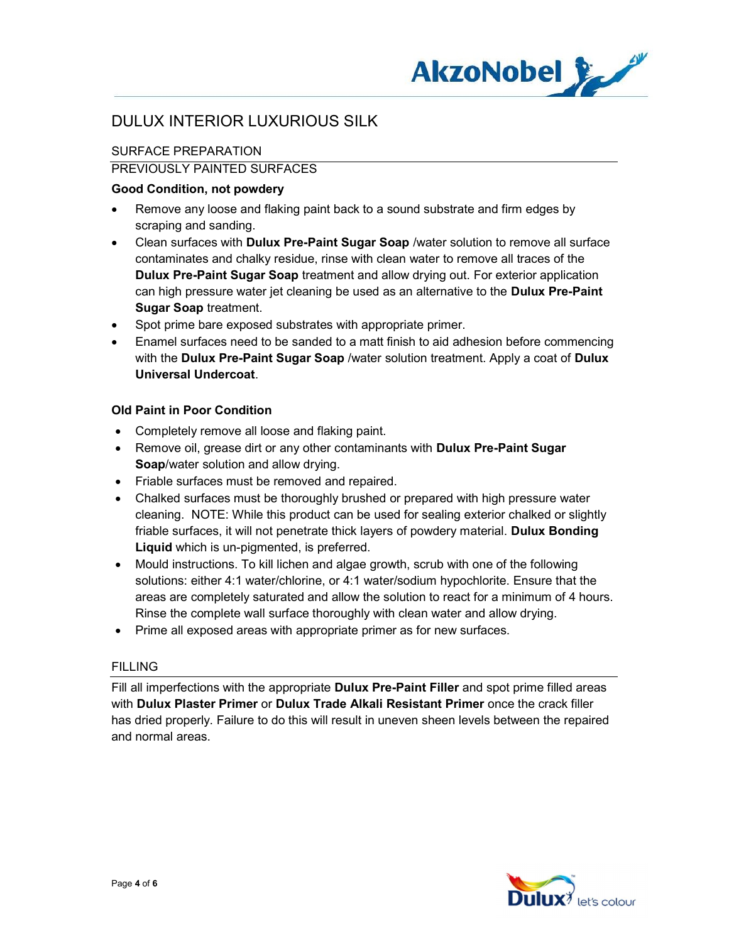

## SURFACE PREPARATION

### PREVIOUSLY PAINTED SURFACES

## Good Condition, not powdery

- Remove any loose and flaking paint back to a sound substrate and firm edges by scraping and sanding.
- Clean surfaces with Dulux Pre-Paint Sugar Soap /water solution to remove all surface contaminates and chalky residue, rinse with clean water to remove all traces of the Dulux Pre-Paint Sugar Soap treatment and allow drying out. For exterior application can high pressure water jet cleaning be used as an alternative to the Dulux Pre-Paint Sugar Soap treatment.
- Spot prime bare exposed substrates with appropriate primer.
- Enamel surfaces need to be sanded to a matt finish to aid adhesion before commencing with the Dulux Pre-Paint Sugar Soap /water solution treatment. Apply a coat of Dulux Universal Undercoat.

### Old Paint in Poor Condition

- Completely remove all loose and flaking paint.
- Remove oil, grease dirt or any other contaminants with **Dulux Pre-Paint Sugar** Soap/water solution and allow drying.
- Friable surfaces must be removed and repaired.
- Chalked surfaces must be thoroughly brushed or prepared with high pressure water cleaning. NOTE: While this product can be used for sealing exterior chalked or slightly friable surfaces, it will not penetrate thick layers of powdery material. Dulux Bonding Liquid which is un-pigmented, is preferred.
- Mould instructions. To kill lichen and algae growth, scrub with one of the following solutions: either 4:1 water/chlorine, or 4:1 water/sodium hypochlorite. Ensure that the areas are completely saturated and allow the solution to react for a minimum of 4 hours. Rinse the complete wall surface thoroughly with clean water and allow drying.
- Prime all exposed areas with appropriate primer as for new surfaces.

#### FILLING

Fill all imperfections with the appropriate **Dulux Pre-Paint Filler** and spot prime filled areas with Dulux Plaster Primer or Dulux Trade Alkali Resistant Primer once the crack filler has dried properly. Failure to do this will result in uneven sheen levels between the repaired and normal areas.

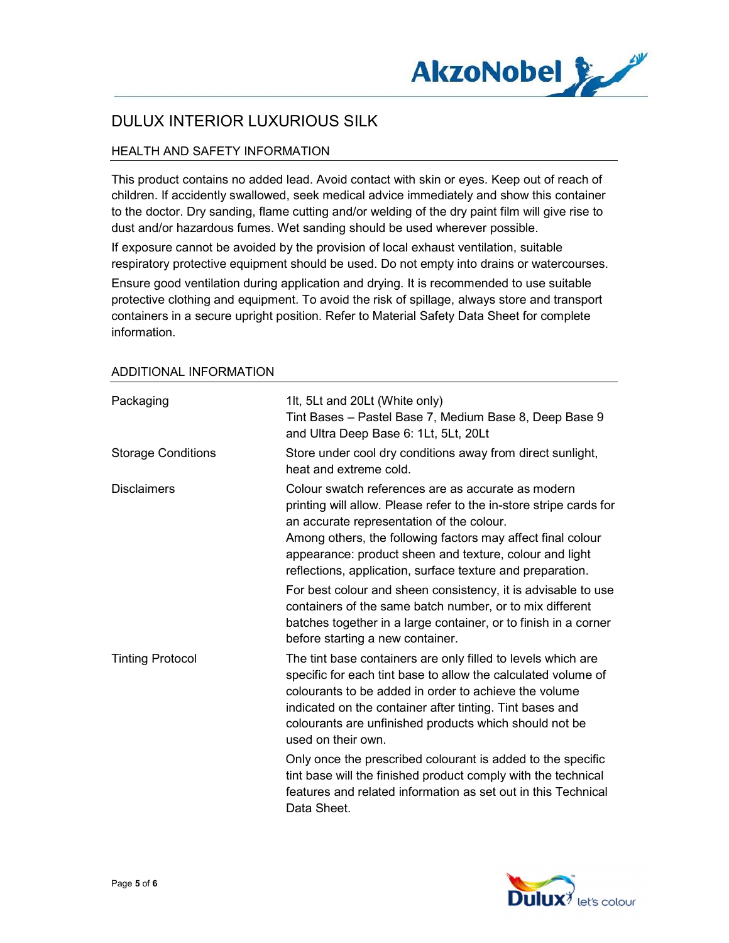

## HEALTH AND SAFETY INFORMATION

This product contains no added lead. Avoid contact with skin or eyes. Keep out of reach of children. If accidently swallowed, seek medical advice immediately and show this container to the doctor. Dry sanding, flame cutting and/or welding of the dry paint film will give rise to dust and/or hazardous fumes. Wet sanding should be used wherever possible.

If exposure cannot be avoided by the provision of local exhaust ventilation, suitable respiratory protective equipment should be used. Do not empty into drains or watercourses.

Ensure good ventilation during application and drying. It is recommended to use suitable protective clothing and equipment. To avoid the risk of spillage, always store and transport containers in a secure upright position. Refer to Material Safety Data Sheet for complete information.

| Packaging                 | 1lt, 5Lt and 20Lt (White only)<br>Tint Bases - Pastel Base 7, Medium Base 8, Deep Base 9<br>and Ultra Deep Base 6: 1Lt, 5Lt, 20Lt                                                                                                                                                                                                                             |
|---------------------------|---------------------------------------------------------------------------------------------------------------------------------------------------------------------------------------------------------------------------------------------------------------------------------------------------------------------------------------------------------------|
| <b>Storage Conditions</b> | Store under cool dry conditions away from direct sunlight,<br>heat and extreme cold.                                                                                                                                                                                                                                                                          |
| <b>Disclaimers</b>        | Colour swatch references are as accurate as modern<br>printing will allow. Please refer to the in-store stripe cards for<br>an accurate representation of the colour.<br>Among others, the following factors may affect final colour<br>appearance: product sheen and texture, colour and light<br>reflections, application, surface texture and preparation. |
|                           | For best colour and sheen consistency, it is advisable to use<br>containers of the same batch number, or to mix different<br>batches together in a large container, or to finish in a corner<br>before starting a new container.                                                                                                                              |
| <b>Tinting Protocol</b>   | The tint base containers are only filled to levels which are<br>specific for each tint base to allow the calculated volume of<br>colourants to be added in order to achieve the volume<br>indicated on the container after tinting. Tint bases and<br>colourants are unfinished products which should not be<br>used on their own.                            |
|                           | Only once the prescribed colourant is added to the specific<br>tint base will the finished product comply with the technical<br>features and related information as set out in this Technical<br>Data Sheet.                                                                                                                                                  |

#### ADDITIONAL INFORMATION